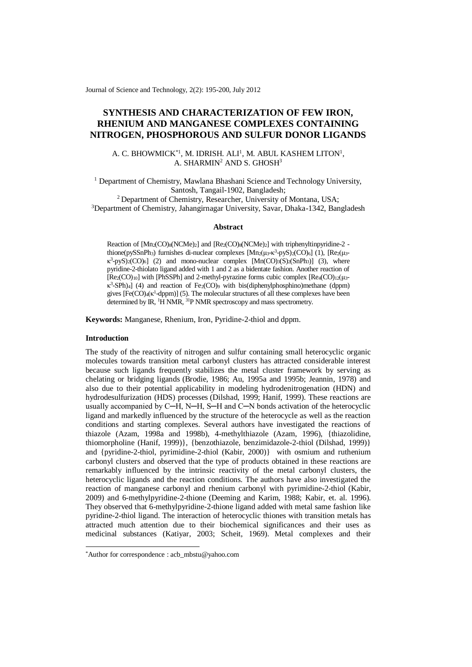Journal of Science and Technology, 2(2): 195-200, July 2012

# **SYNTHESIS AND CHARACTERIZATION OF FEW IRON, RHENIUM AND MANGANESE COMPLEXES CONTAINING NITROGEN, PHOSPHOROUS AND SULFUR DONOR LIGANDS**

### A. C. BHOWMICK<sup>\*1</sup>, M. IDRISH. ALI<sup>1</sup>, M. ABUL KASHEM LITON<sup>1</sup>, A. SHARMIN<sup>2</sup> AND S. GHOSH<sup>3</sup>

<sup>1</sup> Department of Chemistry, Mawlana Bhashani Science and Technology University, Santosh, Tangail-1902, Bangladesh;

<sup>2</sup> Department of Chemistry, Researcher, University of Montana, USA; <sup>3</sup>Department of Chemistry, Jahangirnagar University, Savar, Dhaka-1342, Bangladesh

#### **Abstract**

Reaction of  $[Mn_2(CO)<sub>8</sub>(NCMe)<sub>2</sub>]$  and  $[Re<sub>2</sub>(CO)<sub>8</sub>(NCMe)<sub>2</sub>]$  with triphenyltinpyridine-2 thione(pySSnPh<sub>3</sub>) furnishes di-nuclear complexes  $[Mn_2(\mu_3-\kappa^3-pyS)_{2}(CO)_{6}]$  (1),  $[Re_{2}(\mu_3-\kappa^3-pyS)_{2}]$  $\kappa^3$ -pyS)<sub>2</sub>(CO)<sub>6</sub>] (2) and mono-nuclear complex [Mn(CO)<sub>3</sub>(S)<sub>2</sub>(SnPh<sub>3</sub>)] (3), where pyridine-2-thiolato ligand added with 1 and 2 as a bidentate fashion. Another reaction of  $[Re<sub>2</sub>(CO)<sub>10</sub>]$  with [PhSSPh] and 2-methyl-pyrazine forms cubic complex  $[Re<sub>4</sub>(CO)<sub>12</sub>(μ<sub>3</sub> \kappa^3$ -SPh)<sub>4</sub>] (4) and reaction of Fe<sub>2</sub>(CO)<sup>9</sup> with bis(diphenylphosphino)methane (dppm) gives  $[Fe(CO)_4(\kappa^1{\text{-}dppm})]$  (5). The molecular structures of all these complexes have been determined by IR, <sup>1</sup>H NMR, <sup>31</sup>P NMR spectroscopy and mass spectrometry.

**Keywords:** Manganese, Rhenium, Iron, Pyridine-2-thiol and dppm.

### **Introduction**

-

The study of the reactivity of nitrogen and sulfur containing small heterocyclic organic molecules towards transition metal carbonyl clusters has attracted considerable interest because such ligands frequently stabilizes the metal cluster framework by serving as chelating or bridging ligands (Brodie, 1986; Au, 1995a and 1995b; Jeannin, 1978) and also due to their potential applicability in modeling hydrodenitrogenation (HDN) and hydrodesulfurization (HDS) processes (Dilshad, 1999; Hanif, 1999). These reactions are usually accompanied by C—H, N—H, S—H and C—N bonds activation of the heterocyclic ligand and markedly influenced by the structure of the heterocycle as well as the reaction conditions and starting complexes. Several authors have investigated the reactions of thiazole (Azam, 1998a and 1998b), 4-methylthiazole (Azam, 1996), {thiazolidine, thiomorpholine (Hanif, 1999)}, {benzothiazole, benzimidazole-2-thiol (Dilshad, 1999)} and {pyridine-2-thiol, pyrimidine-2-thiol (Kabir, 2000)} with osmium and ruthenium carbonyl clusters and observed that the type of products obtained in these reactions are remarkably influenced by the intrinsic reactivity of the metal carbonyl clusters, the heterocyclic ligands and the reaction conditions. The authors have also investigated the reaction of manganese carbonyl and rhenium carbonyl with pyrimidine-2-thiol (Kabir, 2009) and 6-methylpyridine-2-thione (Deeming and Karim, 1988; Kabir, et. al. 1996). They observed that 6-methylpyridine-2-thione ligand added with metal same fashion like pyridine-2-thiol ligand. The interaction of heterocyclic thiones with transition metals has attracted much attention due to their biochemical significances and their uses as medicinal substances (Katiyar, 2003; Scheit, 1969). Metal complexes and their

<sup>\*</sup>Author for correspondence : acb\_mbstu@yahoo.com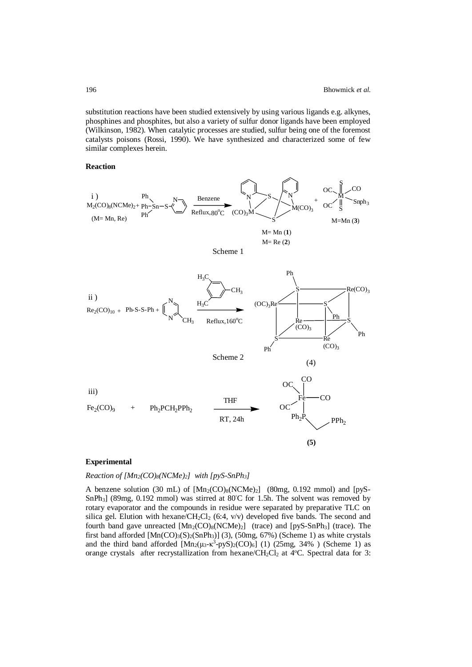substitution reactions have been studied extensively by using various ligands e.g. alkynes, phosphines and phosphites, but also a variety of sulfur donor ligands have been employed (Wilkinson, 1982). When catalytic processes are studied, sulfur being one of the foremost catalysts poisons (Rossi, 1990). We have synthesized and characterized some of few similar complexes herein.

#### **Reaction**



#### **Experimental**

#### *Reaction of [Mn2(CO)8(NCMe)2] with [pyS-SnPh3]*

A benzene solution (30 mL) of  $[Mn_2(CO)_8(NCMe)_2]$  (80mg, 0.192 mmol) and [pyS-SnPh<sub>3</sub>] (89mg, 0.192 mmol) was stirred at 80°C for 1.5h. The solvent was removed by rotary evaporator and the compounds in residue were separated by preparative TLC on silica gel. Elution with hexane/CH<sub>2</sub>Cl<sub>2</sub> (6:4, v/v) developed five bands. The second and fourth band gave unreacted  $[Mn_2(CO)_8(NCMe)_2]$  (trace) and  $[pyS-SnPh_3]$  (trace). The first band afforded  $[Mn(CO)<sub>3</sub>(S)<sub>2</sub>(SnPh<sub>3</sub>)]$  (3), (50mg, 67%) (Scheme 1) as white crystals and the third band afforded  $[Mn_2(\mu_3-\kappa^3-pyS)_2(CO)_6]$  (1) (25mg, 34%) (Scheme 1) as orange crystals after recrystallization from hexane/CH<sub>2</sub>Cl<sub>2</sub> at  $4^{\circ}$ C. Spectral data for 3: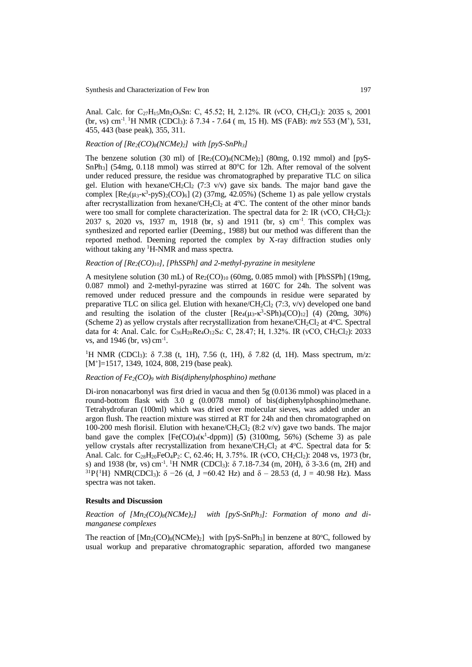Anal. Calc. for C<sub>27</sub>H<sub>15</sub>Mn<sub>2</sub>O<sub>9</sub>Sn: C, 45.52; H, 2.12%. IR (νCO, CH<sub>2</sub>Cl<sub>2</sub>): 2035 s, 2001 (br, vs) cm<sup>-1</sup> <sup>1</sup>H NMR (CDCl<sub>3</sub>): δ 7.34 - 7.64 (m, 15 H). MS (FAB): *m/z* 553 (M<sup>+</sup>), 531, 455, 443 (base peak), 355, 311.

#### *Reaction of [Re2(CO)8(NCMe)2] with [pyS-SnPh3]*

The benzene solution (30 ml) of  $[Re_2(CO)_8(NCMe)_2]$  (80mg, 0.192 mmol) and  $[pyS SnPh<sub>3</sub>$ ] (54mg, 0.118 mmol) was stirred at 80 $°C$  for 12h. After removal of the solvent under reduced pressure, the residue was chromatographed by preparative TLC on silica gel. Elution with hexane/CH<sub>2</sub>Cl<sub>2</sub> (7:3 v/v) gave six bands. The major band gave the complex  $[Re_2(\mu_3-\kappa^3-\mu_3/8)]_2(CO)_6]$  (2) (37mg, 42.05%) (Scheme 1) as pale yellow crystals after recrystallization from hexane/ $CH_2Cl_2$  at 4°C. The content of the other minor bands were too small for complete characterization. The spectral data for 2: IR ( $vCO$ ,  $CH_2Cl_2$ ): 2037 s, 2020 vs, 1937 m, 1918 (br, s) and 1911 (br, s) cm-1 . This complex was synthesized and reported earlier (Deeming., 1988) but our method was different than the reported method. Deeming reported the complex by X-ray diffraction studies only without taking any <sup>1</sup>H-NMR and mass spectra.

#### *Reaction of [Re2(CO)10], [PhSSPh] and 2-methyl-pyrazine in mesitylene*

A mesitylene solution (30 mL) of  $\text{Re}_2(\text{CO})_{10}$  (60mg, 0.085 mmol) with [PhSSPh] (19mg, 0.087 mmol) and 2-methyl-pyrazine was stirred at  $160^{\circ}$ C for 24h. The solvent was removed under reduced pressure and the compounds in residue were separated by preparative TLC on silica gel. Elution with hexane/ $CH_2Cl_2$  (7:3, v/v) developed one band and resulting the isolation of the cluster  $[Re_4(\mu_3-\kappa^3-SPh)_4(CO)_{12}]$  (4) (20mg, 30%) (Scheme 2) as yellow crystals after recrystallization from hexane/CH<sub>2</sub>Cl<sub>2</sub> at  $4^{\circ}$ C. Spectral data for 4: Anal. Calc. for C<sub>36</sub>H<sub>20</sub>Re<sub>4</sub>O<sub>12</sub>S<sub>4</sub>: C, 28.47; H, 1.32%. IR (νCO, CH<sub>2</sub>Cl<sub>2</sub>): 2033 vs, and 1946 (br, vs) cm-1 .

<sup>1</sup>H NMR (CDCl<sub>3</sub>):  $\delta$  7.38 (t, 1H), 7.56 (t, 1H),  $\delta$  7.82 (d, 1H). Mass spectrum, m/z: [M<sup>+</sup>]=1517, 1349, 1024, 808, 219 (base peak).

#### *Reaction of Fe2(CO)<sup>9</sup> with Bis(diphenylphosphino) methane*

Di-iron nonacarbonyl was first dried in vacua and then 5g (0.0136 mmol) was placed in a round-bottom flask with 3.0 g (0.0078 mmol) of bis(diphenylphosphino)methane. Tetrahydrofuran (100ml) which was dried over molecular sieves, was added under an argon flush. The reaction mixture was stirred at RT for 24h and then chromatographed on 100-200 mesh florisil. Elution with hexane/ $CH_2Cl_2$  (8:2 v/v) gave two bands. The major band gave the complex  $[Fe(CO)_4(\kappa^1{\text{-}dppm})]$  (5) (3100mg, 56%) (Scheme 3) as pale yellow crystals after recrystallization from hexane/CH<sub>2</sub>Cl<sub>2</sub> at 4<sup>o</sup>C. Spectral data for 5: Anal. Calc. for  $C_{28}H_{20}FeO_4P_2$ : C, 62.46; H, 3.75%. IR ( $vCO$ , CH<sub>2</sub>Cl<sub>2</sub>): 2048 vs, 1973 (br, s) and 1938 (br, vs) cm<sup>-1</sup>. <sup>1</sup>H NMR (CDCl<sub>3</sub>): δ 7.18-7.34 (m, 20H), δ 3-3.6 (m, 2H) and <sup>31</sup>P{<sup>1</sup>H} NMR(CDCl<sub>3</sub>):  $\delta$  -26 (d, J =60.42 Hz) and  $\delta$  - 28.53 (d, J = 40.98 Hz). Mass spectra was not taken.

#### **Results and Discussion**

*Reaction of [Mn2(CO)8(NCMe)2] with [pyS-SnPh3]: Formation of mono and dimanganese complexes*

The reaction of  $[Mn_2(CO)_8(NCMe)_2]$  with  $[pyS-SnPh_3]$  in benzene at 80°C, followed by usual workup and preparative chromatographic separation, afforded two manganese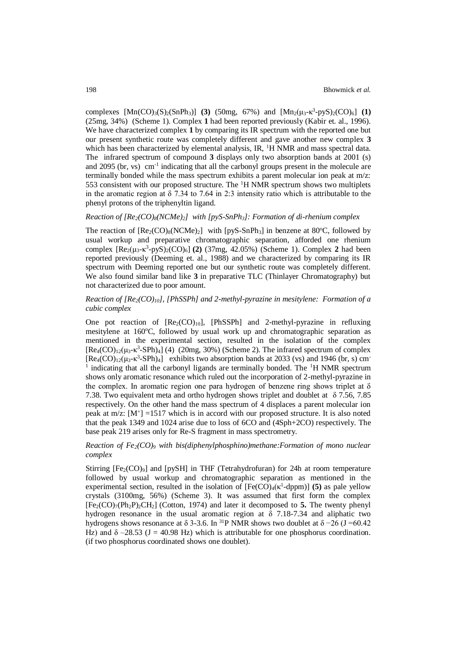complexes  $[Mn(CO)_{3}(S)_{2}(SnPh_{3})]$  (3) (50mg, 67%) and  $[Mn_{2}(\mu_{3}-\kappa^{3}-p_{3})_{2}(CO)_{6}]$  (1) (25mg, 34%) (Scheme 1). Complex **1** had been reported previously (Kabir et. al., 1996). We have characterized complex **1** by comparing its IR spectrum with the reported one but our present synthetic route was completely different and gave another new complex **3** which has been characterized by elemental analysis, IR, <sup>1</sup>H NMR and mass spectral data. The infrared spectrum of compound **3** displays only two absorption bands at 2001 (s) and 2095 (br, vs) cm-1 indicating that all the carbonyl groups present in the molecule are terminally bonded while the mass spectrum exhibits a parent molecular ion peak at  $m/z$ . 553 consistent with our proposed structure. The <sup>1</sup>H NMR spectrum shows two multiplets in the aromatic region at δ 7.34 to 7.64 in 2:3 intensity ratio which is attributable to the phenyl protons of the triphenyltin ligand.

#### *Reaction of [Re2(CO)8(NCMe)2] with [pyS-SnPh3]: Formation of di-rhenium complex*

The reaction of  $[Re_2(CO)_8(NCMe)_2]$  with  $[pvS-SnPh_3]$  in benzene at 80°C, followed by usual workup and preparative chromatographic separation, afforded one rhenium complex [Re<sub>2</sub>(μ<sub>3</sub>-κ<sup>3</sup>-pyS)<sub>2</sub>(CO)<sub>6</sub>] (2) (37mg, 42.05%) (Scheme 1). Complex 2 had been reported previously (Deeming et. al., 1988) and we characterized by comparing its IR spectrum with Deeming reported one but our synthetic route was completely different. We also found similar band like **3** in preparative TLC (Thinlayer Chromatography) but not characterized due to poor amount.

## *Reaction of [Re2(CO)10], [PhSSPh] and 2-methyl-pyrazine in mesitylene: Formation of a cubic complex*

One pot reaction of  $[Re_2(CO)_{10}]$ ,  $[PhSSPh]$  and 2-methyl-pyrazine in refluxing mesitylene at  $160^{\circ}$ C, followed by usual work up and chromatographic separation as mentioned in the experimental section, resulted in the isolation of the complex  $[Re_4(CO)_{12}(\mu_3-\kappa^3-SPh)_4]$  (4) (20mg, 30%) (Scheme 2). The infrared spectrum of complex  $[Re_4(CO)_{12}(\mu_3-\kappa^3-SPh)_4]$  exhibits two absorption bands at 2033 (vs) and 1946 (br, s) cm<sup>-</sup> 1 indicating that all the carbonyl ligands are terminally bonded. The <sup>1</sup>H NMR spectrum shows only aromatic resonance which ruled out the incorporation of 2-methyl-pyrazine in the complex. In aromatic region one para hydrogen of benzene ring shows triplet at  $\delta$ 7.38. Two equivalent meta and ortho hydrogen shows triplet and doublet at δ 7.56, 7.85 respectively. On the other hand the mass spectrum of 4 displaces a parent molecular ion peak at  $m/z$ :  $[M^+] = 1517$  which is in accord with our proposed structure. It is also noted that the peak 1349 and 1024 arise due to loss of 6CO and (4Sph+2CO) respectively. The base peak 219 arises only for Re-S fragment in mass spectrometry.

### *Reaction of Fe2(CO)<sup>9</sup> with bis(diphenylphosphino)methane:Formation of mono nuclear complex*

Stirring  $[Fe_2(CO)_9]$  and  $[pySH]$  in THF (Tetrahydrofuran) for 24h at room temperature followed by usual workup and chromatographic separation as mentioned in the experimental section, resulted in the isolation of  $[Fe(CO)_4(\kappa^1{\text{-}dppm})]$  (5) as pale yellow crystals (3100mg, 56%) (Scheme 3). It was assumed that first form the complex  $[Fe_2(CO)_7(Ph_2P)_2CH_2]$  (Cotton, 1974) and later it decomposed to **5.** The twenty phenyl hydrogen resonance in the usual aromatic region at δ 7.18-7.34 and aliphatic two hydrogens shows resonance at  $\delta$  3-3.6. In <sup>31</sup>P NMR shows two doublet at  $\delta$  −26 (J =60.42 Hz) and  $\delta$  –28.53 (J = 40.98 Hz) which is attributable for one phosphorus coordination. (if two phosphorus coordinated shows one doublet).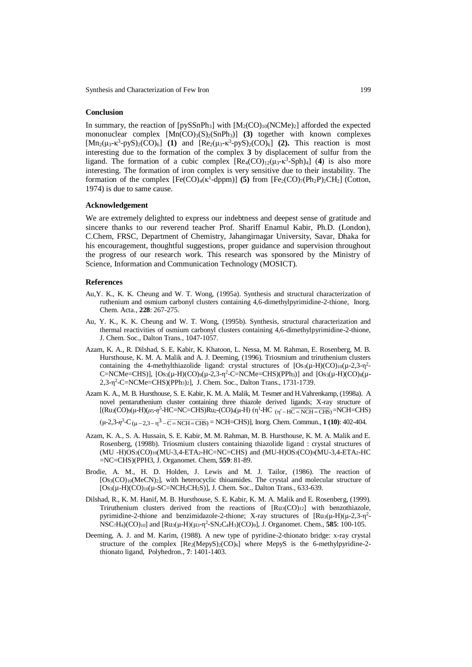Synthesis and Characterization of Few Iron 199

#### **Conclusion**

In summary, the reaction of  $[pySSnPh_3]$  with  $[M_2(CO)_{10}(NCMe)_2]$  afforded the expected mononuclear complex  $[Mn(CO)<sub>3</sub>(S)<sub>2</sub>(SnPh<sub>3</sub>)]$  (3) together with known complexes [ $Mn_2(\mu_3-\kappa^3-\mu_3-\mu_5)/2$ ] (1) and [ $Re_2(\mu_3-\kappa^3-\mu_3-\mu_5)/2$ ] (2). This reaction is most interesting due to the formation of the complex **3** by displacement of sulfur from the ligand. The formation of a cubic complex  $[Re_4(CO)_{12}(\mu_3-\kappa^3-Sph)_4]$  (4) is also more interesting. The formation of iron complex is very sensitive due to their instability. The formation of the complex  $[Fe(CO)_4(\kappa^1{\text{-}dppm})]$  (5) from  $[Fe_2(CO)_7(Ph_2P)_2CH_2]$  (Cotton, 1974) is due to same cause.

### **Acknowledgement**

We are extremely delighted to express our indebtness and deepest sense of gratitude and sincere thanks to our reverend teacher Prof. Shariff Enamul Kabir, Ph.D. (London), C.Chem, FRSC, Department of Chemistry, Jahangirnagar University, Savar, Dhaka for his encouragement, thoughtful suggestions, proper guidance and supervision throughout the progress of our research work. This research was sponsored by the Ministry of Science, Information and Communication Technology (MOSICT).

#### **References**

- Au,Y. K., K. K. Cheung and W. T. Wong, (1995a). Synthesis and structural characterization of ruthenium and osmium carbonyl clusters containing 4,6-dimethylpyrimidine-2-thione, Inorg. Chem. Acta., **228**: 267-275.
- Au, Y. K., K. K. Cheung and W. T. Wong, (1995b). Synthesis, structural characterization and thermal reactivities of osmium carbonyl clusters containing 4,6-dimethylpyrimidine-2-thione, J. Chem. Soc., Dalton Trans., 1047-1057.
- Azam, K. A., R. Dilshad, S. E. Kabir, K. Khatoon, L. Nessa, M. M. Rahman, E. Rosenberg, M. B. Hursthouse, K. M. A. Malik and A. J. Deeming, (1996). Triosmium and triruthenium clusters containing the 4-methylthiazolide ligand: crystal structures of  $[Os_3(\mu-H)(CO)_{10}(\mu-2,3-\eta^2-$ C=NCMe=CHS)],  $[Os_3(\mu-H)(CO)_9(\mu-2,3-\eta^2-C=NCMe=CHS)(PPh_3)]$  and  $[Os_3(\mu-H)(CO)_8(\mu-H)(CO)_8(\mu-H)(CO)_4$ 2,3-η 2 -C=NCMe=CHS)(PPh3)2], J. Chem. Soc., Dalton Trans., 1731-1739.
- Azam K. A., M. B. Hursthouse, S. E. Kabir, K. M. A. Malik, M. Tesmer and H.Vahrenkamp, (1998a). A novel pentaruthenium cluster containing three thiazole derived ligands; X-ray structure of [(Ru3(CO)9(μ-H)(μ5-η<sup>5</sup>-HC=NC=CHS)Ru2-(CO)4(μ-H) (η<sup>1</sup>-HC <sub>(η'</sub>-<sub>H</sub>C=NCH=CHS)=NCH=CHS)

 $(\mu$ -2,3- $\eta$ <sup>3</sup>-C $(\mu$ -2,3- $\eta$ <sup>3</sup>-C=NCH=CHS) = NCH=CHS)], Inorg. Chem. Commun., **1 (10)**: 402-404.

- Azam, K. A., S. A. Hussain, S. E. Kabir, M. M. Rahman, M. B. Hursthouse, K. M. A. Malik and E. Rosenberg, (1998b). Triosmium clusters containing thiazolide ligand : crystal structures of (MU -H)OS3(CO)10(MU-3,4-ETA2-HC=NC=CHS) and (MU-H)OS3(CO)9(MU-3,4-ETA2-HC =NC=CHS)(PPH3, J. Organomet. Chem, **559**: 81-89.
- Brodie, A. M., H. D. Holden, J. Lewis and M. J. Tailor, (1986). The reaction of [Os<sub>3</sub>(CO)<sub>10</sub>(MeCN)<sub>2</sub>], with heterocyclic thioamides. The crystal and molecular structure of  $[Os_3(\mu-H)(CO)_{10}(\mu-SC=NCH_2CH_2S)]$ , J. Chem. Soc., Dalton Trans., 633-639.
- Dilshad, R., K. M. Hanif, M. B. Hursthouse, S. E. Kabir, K. M. A. Malik and E. Rosenberg, (1999). Triruthenium clusters derived from the reactions of [Ru3(CO)12] with benzothiazole, pyrimidine-2-thione and benzimidazole-2-thione; X-ray structures of  $[Ru_3(\mu-H)(\mu-2,3-\eta^2-1)]$ NSC<sub>7</sub>H<sub>4</sub>)(CO)<sub>10</sub>] and [Ru<sub>3</sub>(μ-H)(μ<sub>3</sub>-η<sup>2</sup>-SN<sub>2</sub>C<sub>4</sub>H<sub>3</sub>)(CO)<sub>9</sub>], J. Organomet. Chem., **585**: 100-105.
- Deeming, A. J. and M. Karim, (1988). A new type of pyridine-2-thionato bridge: x-ray crystal structure of the complex  $[Re_2(MepyS)_2(CO)_6]$  where MepyS is the 6-methylpyridine-2thionato ligand, Polyhedron., **7**: 1401-1403.